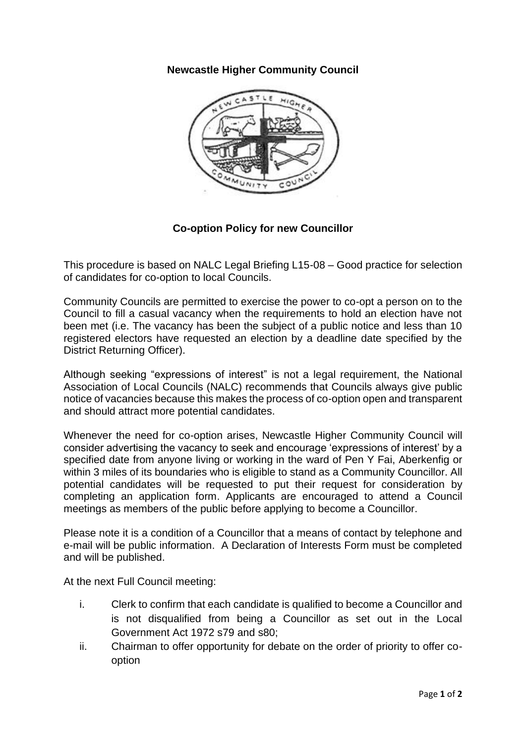## **Newcastle Higher Community Council**



## **Co-option Policy for new Councillor**

This procedure is based on NALC Legal Briefing L15-08 – Good practice for selection of candidates for co-option to local Councils.

Community Councils are permitted to exercise the power to co-opt a person on to the Council to fill a casual vacancy when the requirements to hold an election have not been met (i.e. The vacancy has been the subject of a public notice and less than 10 registered electors have requested an election by a deadline date specified by the District Returning Officer).

Although seeking "expressions of interest" is not a legal requirement, the National Association of Local Councils (NALC) recommends that Councils always give public notice of vacancies because this makes the process of co-option open and transparent and should attract more potential candidates.

Whenever the need for co-option arises, Newcastle Higher Community Council will consider advertising the vacancy to seek and encourage 'expressions of interest' by a specified date from anyone living or working in the ward of Pen Y Fai, Aberkenfig or within 3 miles of its boundaries who is eligible to stand as a Community Councillor. All potential candidates will be requested to put their request for consideration by completing an application form. Applicants are encouraged to attend a Council meetings as members of the public before applying to become a Councillor.

Please note it is a condition of a Councillor that a means of contact by telephone and e-mail will be public information. A Declaration of Interests Form must be completed and will be published.

At the next Full Council meeting:

- i. Clerk to confirm that each candidate is qualified to become a Councillor and is not disqualified from being a Councillor as set out in the Local Government Act 1972 s79 and s80;
- ii. Chairman to offer opportunity for debate on the order of priority to offer cooption